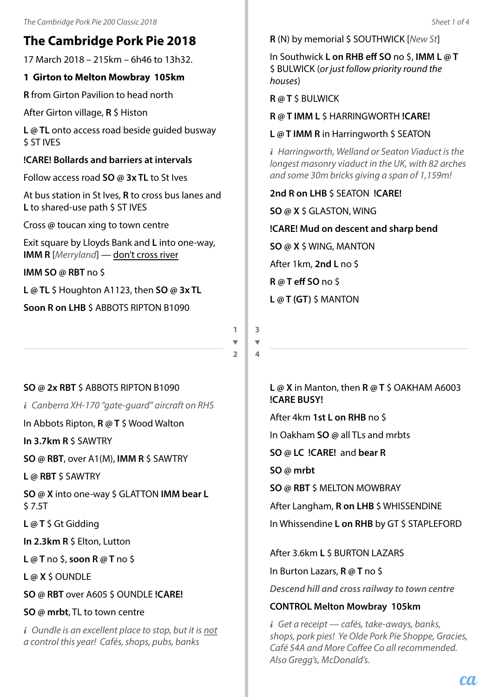# **The Cambridge Pork Pie 2018**

17 March 2018 – 215km – 6h46 to 13h32.

# **1 Girton to Melton Mowbray 105km**

**R** from Girton Pavilion to head north

After Girton village, **R** \$ Histon

**L @ TL** onto access road beside guided busway \$ ST IVES

## **!CARE! Bollards and barriers at intervals**

Follow access road **SO @ 3x TL** to St Ives

At bus station in St Ives, **R** to cross bus lanes and **L** to shared-use path \$ ST IVES

Cross **@** toucan xing to town centre

Exit square by Lloyds Bank and **L** into one-way, **IMM R** [*Merryland*] — don't cross river

**IMM SO @ RBT** no \$

**L @ TL** \$ Houghton A1123, then **SO @ 3x TL**

**Soon R on LHB** \$ ABBOTS RIPTON B1090

**1**  $\overline{\phantom{a}}$ **2**

**SO @ 2x RBT** \$ ABBOTS RIPTON B1090

*i Canberra XH-170 "gate-guard" aircraft on RHS*

In Abbots Ripton, **R @ T** \$ Wood Walton

**In 3.7km R** \$ SAWTRY

**SO @ RBT**, over A1(M), **IMM R** \$ SAWTRY

**L @ RBT** \$ SAWTRY

**SO @ X** into one-way \$ GLATTON **IMM bear L** \$ 7.5T

**L @ T** \$ Gt Gidding

**In 2.3km R** \$ Elton, Lutton

**L @ T** no \$, **soon R @ T** no \$

**L @ X** \$ OUNDLE

**SO @ RBT** over A605 \$ OUNDLE **!CARE!**

# **SO @ mrbt**, TL to town centre

*i Oundle is an excellent place to stop, but it is not a control this year! Cafés, shops, pubs, banks*

**R** (N) by memorial \$ SOUTHWICK [*New St*]

In Southwick **L on RHB eff SO** no \$, **IMM L @ T** \$ BULWICK (*or just follow priority round the houses*)

**R @ T** \$ BULWICK

**R @ T IMM L** \$ HARRINGWORTH **!CARE!**

**L @ T IMM R** in Harringworth \$ SEATON

*i Harringworth, Welland or Seaton Viaduct is the longest masonry viaduct in the UK, with 82 arches and some 30m bricks giving a span of 1,159m!*

**2nd R on LHB** \$ SEATON **!CARE! SO @ X** \$ GLASTON, WING **!CARE! Mud on descent and sharp bend SO @ X** \$ WING, MANTON After 1km, **2nd L** no \$ **R @ T eff SO** no \$ **L @ T (GT)** \$ MANTON

**3**  $\overline{\phantom{0}}$ **4**

> **L @ X** in Manton, then **R @ T** \$ OAKHAM A6003 **!CARE BUSY!**

After 4km **1st L on RHB** no \$

In Oakham **SO @** all TLs and mrbts

**SO @ LC !CARE!** and **bear R**

**SO @ mrbt**

**SO @ RBT** \$ MELTON MOWBRAY

After Langham, **R on LHB** \$ WHISSENDINE In Whissendine **L on RHB** by GT \$ STAPLEFORD

After 3.6km **L** \$ BURTON LAZARS

In Burton Lazars, **R @ T** no \$

*Descend hill and cross railway to town centre*

### **CONTROL Melton Mowbray 105km**

*i Get a receipt — cafés, take-aways, banks, shops, pork pies! Ye Olde Pork Pie Shoppe, Gracies, Café 54A and More Coffee Co all recommended. Also Gregg's, McDonald's.*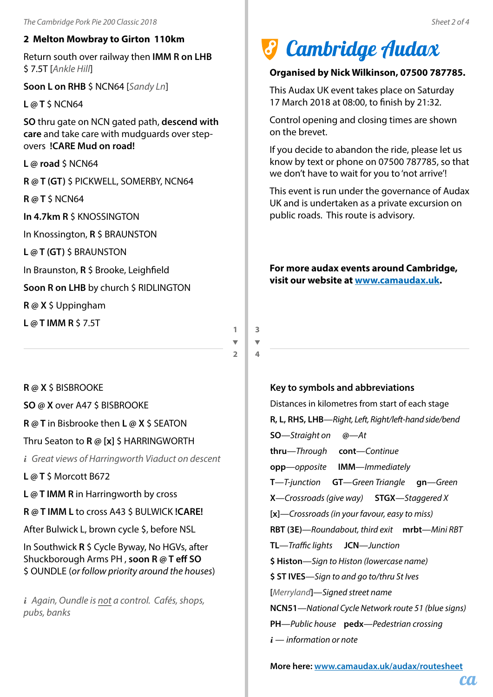### **2 Melton Mowbray to Girton 110km**

Return south over railway then **IMM R on LHB** \$ 7.5T [*Ankle Hill*]

**Soon L on RHB** \$ NCN64 [*Sandy Ln*]

**L @ T** \$ NCN64

**SO** thru gate on NCN gated path, **descend with care** and take care with mudguards over stepovers **!CARE Mud on road!**

**L @ road** \$ NCN64

**R @ T (GT)** \$ PICKWELL, SOMERBY, NCN64

**R @ T** \$ NCN64

**In 4.7km R** \$ KNOSSINGTON

In Knossington, **R** \$ BRAUNSTON

**L @ T (GT)** \$ BRAUNSTON

In Braunston, **R** \$ Brooke, Leighfield

**Soon R on LHB** by church \$ RIDLINGTON

**R @ X** \$ Uppingham

**L @ T IMM R** \$ 7.5T

# *I* Cambridge Audax

#### **Organised by Nick Wilkinson, 07500 787785.**

This Audax UK event takes place on Saturday 17 March 2018 at 08:00, to finish by 21:32.

Control opening and closing times are shown on the brevet.

If you decide to abandon the ride, please let us know by text or phone on 07500 787785, so that we don't have to wait for you to 'not arrive'!

This event is run under the governance of Audax UK and is undertaken as a private excursion on public roads. This route is advisory.

**For more audax events around Cambridge, visit our website at www.camaudax.uk.**

**1**  $\overline{\phantom{0}}$ 

**3**  $\overline{\phantom{0}}$ **4**

**2**

**R @ X** \$ BISBROOKE

**SO @ X** over A47 \$ BISBROOKE

**R @ T** in Bisbrooke then **L @ X** \$ SEATON

Thru Seaton to **R @ [x]** \$ HARRINGWORTH

*i Great views of Harringworth Viaduct on descent*

**L @ T** \$ Morcott B672

**L @ T IMM R** in Harringworth by cross

**R @ T IMM L** to cross A43 \$ BULWICK **!CARE!**

After Bulwick L, brown cycle \$, before NSL

In Southwick **R** \$ Cycle Byway, No HGVs, after Shuckborough Arms PH , **soon R @ T eff SO** \$ OUNDLE (*or follow priority around the houses*)

*i Again, Oundle is not a control. Cafés, shops, pubs, banks*

### **Key to symbols and abbreviations**

Distances in kilometres from start of each stage **R, L, RHS, LHB**—*Right, Left, Right/left-hand side/bend* **SO**—*Straight on* **@**—*At* **thru**—*Through* **cont**—*Continue* **opp**—*opposite* **IMM**—*Immediately* **T**—*T-junction* **GT**—*Green Triangle* **gn**—*Green* **X**—*Crossroads (give way)* **STGX**—*Staggered X* **[x]**—*Crossroads (in your favour, easy to miss)* **RBT (3E)**—*Roundabout, third exit* **mrbt**—*Mini RBT* **TL**—*Traffic lights* **JCN**—*Junction* **\$ Histon**—*Sign to Histon (lowercase name)* **\$ ST IVES**—*Sign to and go to/thru St Ives* **[***Merryland***]**—*Signed street name* **NCN51**—*National Cycle Network route 51 (blue signs)* **PH**—*Public house* **pedx**—*Pedestrian crossing i* — *information or note*

**More here: www.camaudax.uk/audax/routesheet**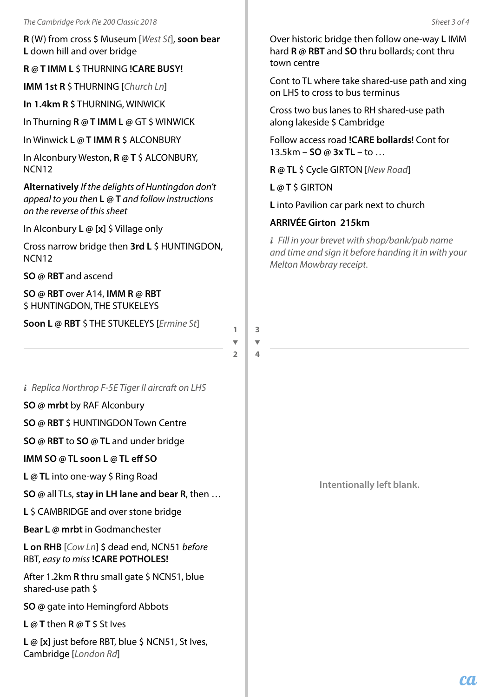**R** (W) from cross \$ Museum [*West St*], **soon bear L** down hill and over bridge

**R @ T IMM L** \$ THURNING **!CARE BUSY!**

**IMM 1st R** \$ THURNING [*Church Ln*]

**In 1.4km R** \$ THURNING, WINWICK

In Thurning **R @ T IMM L @** GT \$ WINWICK

In Winwick **L @ T IMM R** \$ ALCONBURY

In Alconbury Weston, **R @ T** \$ ALCONBURY, NCN12

**Alternatively** *If the delights of Huntingdon don't appeal to you then* **L @ T** *and follow instructions on the reverse of this sheet*

In Alconbury **L @ [x]** \$ Village only

Cross narrow bridge then **3rd L** \$ HUNTINGDON, NCN12

**SO @ RBT** and ascend

**SO @ RBT** over A14, **IMM R @ RBT** \$ HUNTINGDON, THE STUKELEYS

**Soon L @ RBT** \$ THE STUKELEYS [*Ermine St*]

 $\overline{\mathbf{v}}$ 

**1**

**2**

**3**  $\overline{\phantom{0}}$ **4**

*i Replica Northrop F-5E Tiger II aircraft on LHS*

**SO @ mrbt** by RAF Alconbury

**SO @ RBT** \$ HUNTINGDON Town Centre

**SO @ RBT** to **SO @ TL** and under bridge

**IMM SO @ TL soon L @ TL eff SO**

**L @ TL** into one-way \$ Ring Road

**SO @** all TLs, **stay in LH lane and bear R**, then …

**L** \$ CAMBRIDGE and over stone bridge

**Bear L @ mrbt** in Godmanchester

**L on RHB** [*Cow Ln*] \$ dead end, NCN51 *before* RBT, *easy to miss* **!CARE POTHOLES!**

After 1.2km **R** thru small gate \$ NCN51, blue shared-use path \$

**SO @** gate into Hemingford Abbots

**L @ T** then **R @ T** \$ St Ives

L @ [x] just before RBT, blue \$ NCN51, St Ives, Cambridge [*London Rd*]

Over historic bridge then follow one-way **L** IMM hard **R @ RBT** and **SO** thru bollards; cont thru town centre

Cont to TL where take shared-use path and xing on LHS to cross to bus terminus

Cross two bus lanes to RH shared-use path along lakeside \$ Cambridge

Follow access road **!CARE bollards!** Cont for 13.5km – **SO @ 3x TL** – to …

**R @ TL** \$ Cycle GIRTON [*New Road*]

**L @ T** \$ GIRTON

**L** into Pavilion car park next to church

### **ARRIVÉE Girton 215km**

*i Fill in your brevet with shop/bank/pub name and time and sign it before handing it in with your Melton Mowbray receipt.*

**Intentionally left blank.**